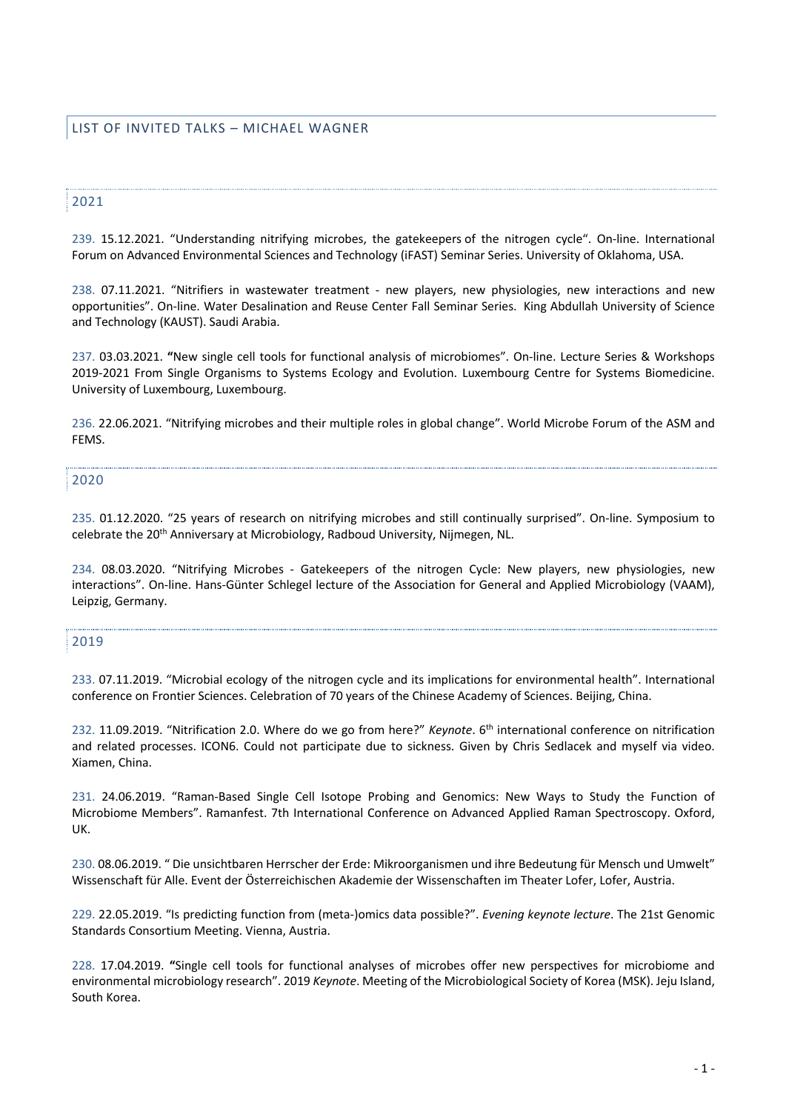# 2021

239. 15.12.2021. "Understanding nitrifying microbes, the gatekeepers of the nitrogen cycle". On-line. International Forum on Advanced Environmental Sciences and Technology (iFAST) Seminar Series. University of Oklahoma, USA.

238. 07.11.2021. "Nitrifiers in wastewater treatment - new players, new physiologies, new interactions and new opportunities". On-line. Water Desalination and Reuse Center Fall Seminar Series. King Abdullah University of Science and Technology (KAUST). Saudi Arabia.

237. 03.03.2021. **"**New single cell tools for functional analysis of microbiomes". On-line. Lecture Series & Workshops 2019-2021 From Single Organisms to Systems Ecology and Evolution. Luxembourg Centre for Systems Biomedicine. University of Luxembourg, Luxembourg.

236. 22.06.2021. "Nitrifying microbes and their multiple roles in global change". World Microbe Forum of the ASM and FEMS.

#### 2020

235. 01.12.2020. "25 years of research on nitrifying microbes and still continually surprised". On-line. Symposium to celebrate the 20<sup>th</sup> Anniversary at Microbiology, Radboud University, Nijmegen, NL.

234. 08.03.2020. "Nitrifying Microbes - Gatekeepers of the nitrogen Cycle: New players, new physiologies, new interactions". On-line. Hans-Günter Schlegel lecture of the Association for General and Applied Microbiology (VAAM), Leipzig, Germany.

#### 2019

233. 07.11.2019. "Microbial ecology of the nitrogen cycle and its implications for environmental health". International conference on Frontier Sciences. Celebration of 70 years of the Chinese Academy of Sciences. Beijing, China.

232. 11.09.2019. "Nitrification 2.0. Where do we go from here?" *Keynote*. 6th international conference on nitrification and related processes. ICON6. Could not participate due to sickness. Given by Chris Sedlacek and myself via video. Xiamen, China.

231. 24.06.2019. "Raman-Based Single Cell Isotope Probing and Genomics: New Ways to Study the Function of Microbiome Members". Ramanfest. 7th International Conference on Advanced Applied Raman Spectroscopy. Oxford, UK.

230. 08.06.2019. " Die unsichtbaren Herrscher der Erde: Mikroorganismen und ihre Bedeutung für Mensch und Umwelt" Wissenschaft für Alle. Event der Österreichischen Akademie der Wissenschaften im Theater Lofer, Lofer, Austria.

229. 22.05.2019. "Is predicting function from (meta-)omics data possible?". *Evening keynote lecture*. The 21st Genomic Standards Consortium Meeting. Vienna, Austria.

228. 17.04.2019. **"**Single cell tools for functional analyses of microbes offer new perspectives for microbiome and environmental microbiology research". 2019 *Keynote*. Meeting of the Microbiological Society of Korea (MSK). Jeju Island, South Korea.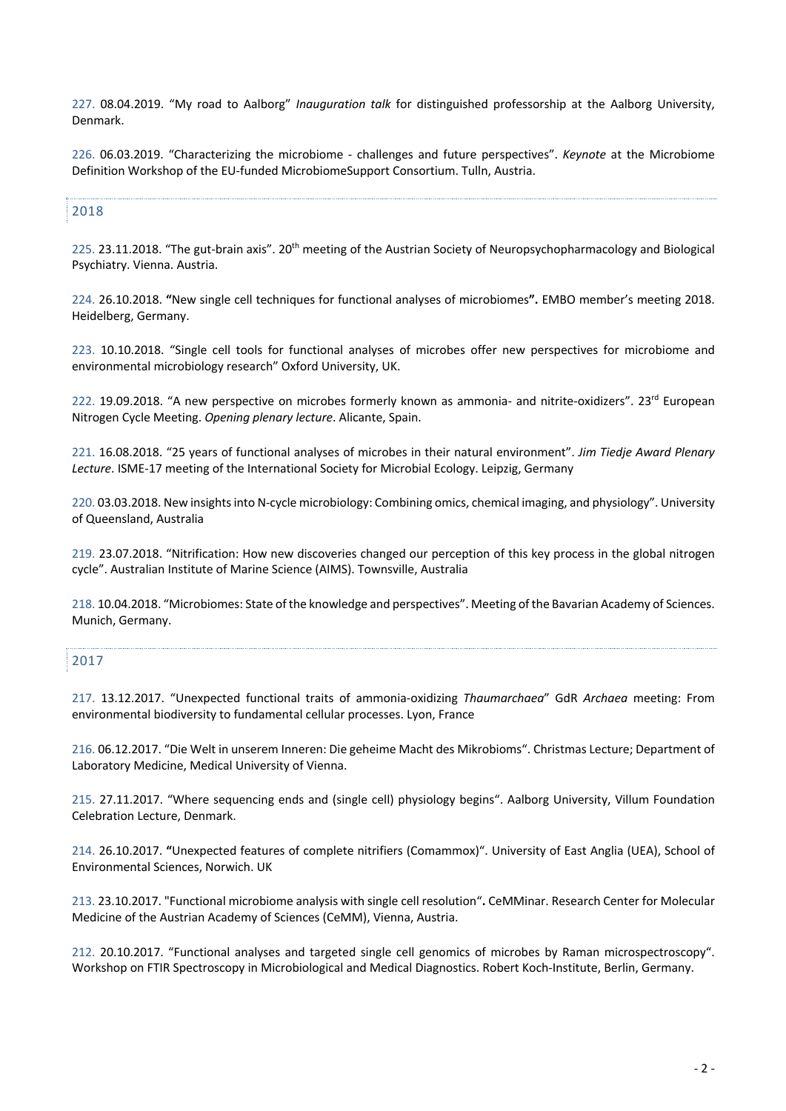227. 08.04.2019. "My road to Aalborg" *Inauguration talk* for distinguished professorship at the Aalborg University, Denmark.

226. 06.03.2019. "Characterizing the microbiome - challenges and future perspectives". *Keynote* at the Microbiome Definition Workshop of the EU-funded MicrobiomeSupport Consortium. Tulln, Austria.

## 2018

225. 23.11.2018. "The gut-brain axis". 20<sup>th</sup> meeting of the Austrian Society of Neuropsychopharmacology and Biological Psychiatry. Vienna. Austria.

224. 26.10.2018. **"**New single cell techniques for functional analyses of microbiomes**".** EMBO member's meeting 2018. Heidelberg, Germany.

223. 10.10.2018. "Single cell tools for functional analyses of microbes offer new perspectives for microbiome and environmental microbiology research" Oxford University, UK.

222. 19.09.2018. "A new perspective on microbes formerly known as ammonia- and nitrite-oxidizers". 23<sup>rd</sup> European Nitrogen Cycle Meeting. *Opening plenary lecture*. Alicante, Spain.

221. 16.08.2018. "25 years of functional analyses of microbes in their natural environment". *Jim Tiedje Award Plenary Lecture*. ISME-17 meeting of the International Society for Microbial Ecology. Leipzig, Germany

220. 03.03.2018. New insights into N-cycle microbiology: Combining omics, chemical imaging, and physiology". University of Queensland, Australia

219. 23.07.2018. "Nitrification: How new discoveries changed our perception of this key process in the global nitrogen cycle". Australian Institute of Marine Science (AIMS). Townsville, Australia

218. 10.04.2018. "Microbiomes: State of the knowledge and perspectives". Meeting of the Bavarian Academy of Sciences. Munich, Germany.

#### 2017

217. 13.12.2017. "Unexpected functional traits of ammonia-oxidizing *Thaumarchaea*" GdR *Archaea* meeting: From environmental biodiversity to fundamental cellular processes. Lyon, France

216. 06.12.2017. "Die Welt in unserem Inneren: Die geheime Macht des Mikrobioms". Christmas Lecture; Department of Laboratory Medicine, Medical University of Vienna.

215. 27.11.2017. "Where sequencing ends and (single cell) physiology begins". Aalborg University, Villum Foundation Celebration Lecture, Denmark.

214. 26.10.2017. **"**Unexpected features of complete nitrifiers (Comammox)". University of East Anglia (UEA), School of Environmental Sciences, Norwich. UK

213. 23.10.2017. "Functional microbiome analysis with single cell resolution"**.** CeMMinar. Research Center for Molecular Medicine of the Austrian Academy of Sciences (CeMM), Vienna, Austria.

212. 20.10.2017. "Functional analyses and targeted single cell genomics of microbes by Raman microspectroscopy". Workshop on FTIR Spectroscopy in Microbiological and Medical Diagnostics. Robert Koch-Institute, Berlin, Germany.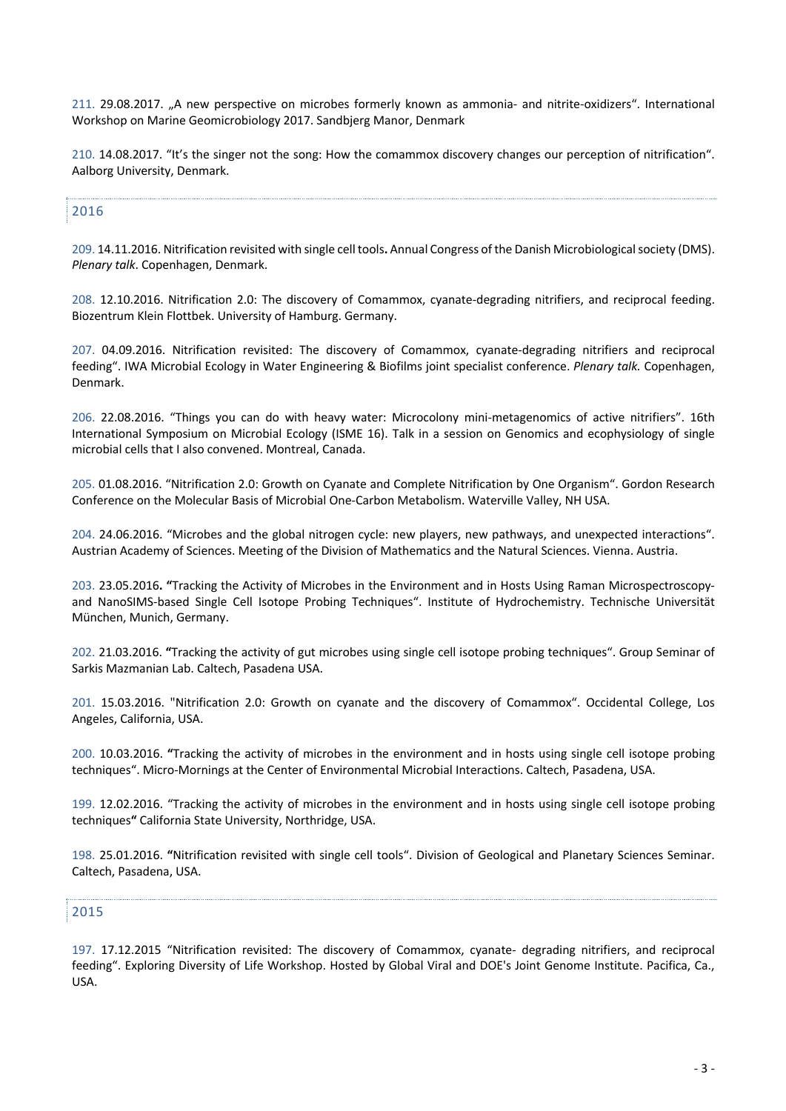211. 29.08.2017. "A new perspective on microbes formerly known as ammonia- and nitrite-oxidizers". International Workshop on Marine Geomicrobiology 2017. Sandbjerg Manor, Denmark

210. 14.08.2017. "It's the singer not the song: How the comammox discovery changes our perception of nitrification". Aalborg University, Denmark.

# 2016

209. 14.11.2016. Nitrification revisited with single cell tools**.** Annual Congress of the Danish Microbiological society (DMS). *Plenary talk*. Copenhagen, Denmark.

208. 12.10.2016. Nitrification 2.0: The discovery of Comammox, cyanate-degrading nitrifiers, and reciprocal feeding. Biozentrum Klein Flottbek. University of Hamburg. Germany.

207. 04.09.2016. Nitrification revisited: The discovery of Comammox, cyanate-degrading nitrifiers and reciprocal feeding". IWA Microbial Ecology in Water Engineering & Biofilms joint specialist conference. *Plenary talk.* Copenhagen, Denmark.

206. 22.08.2016. "Things you can do with heavy water: Microcolony mini-metagenomics of active nitrifiers". 16th International Symposium on Microbial Ecology (ISME 16). Talk in a session on Genomics and ecophysiology of single microbial cells that I also convened. Montreal, Canada.

205. 01.08.2016. "Nitrification 2.0: Growth on Cyanate and Complete Nitrification by One Organism". Gordon Research Conference on the Molecular Basis of Microbial One-Carbon Metabolism. Waterville Valley, NH USA.

204. 24.06.2016. "Microbes and the global nitrogen cycle: new players, new pathways, and unexpected interactions". Austrian Academy of Sciences. Meeting of the Division of Mathematics and the Natural Sciences. Vienna. Austria.

203. 23.05.2016**. "**Tracking the Activity of Microbes in the Environment and in Hosts Using Raman Microspectroscopyand NanoSIMS-based Single Cell Isotope Probing Techniques". Institute of Hydrochemistry. Technische Universität München, Munich, Germany.

202. 21.03.2016. **"**Tracking the activity of gut microbes using single cell isotope probing techniques". Group Seminar of Sarkis Mazmanian Lab. Caltech, Pasadena USA.

201. 15.03.2016. "Nitrification 2.0: Growth on cyanate and the discovery of Comammox". Occidental College, Los Angeles, California, USA.

200. 10.03.2016. **"**Tracking the activity of microbes in the environment and in hosts using single cell isotope probing techniques". Micro-Mornings at the Center of Environmental Microbial Interactions. Caltech, Pasadena, USA.

199. 12.02.2016. "Tracking the activity of microbes in the environment and in hosts using single cell isotope probing techniques**"** California State University, Northridge, USA.

198. 25.01.2016. **"**Nitrification revisited with single cell tools". Division of Geological and Planetary Sciences Seminar. Caltech, Pasadena, USA.

# 2015

197. 17.12.2015 "Nitrification revisited: The discovery of Comammox, cyanate- degrading nitrifiers, and reciprocal feeding". Exploring Diversity of Life Workshop. Hosted by Global Viral and DOE's Joint Genome Institute. Pacifica, Ca., USA.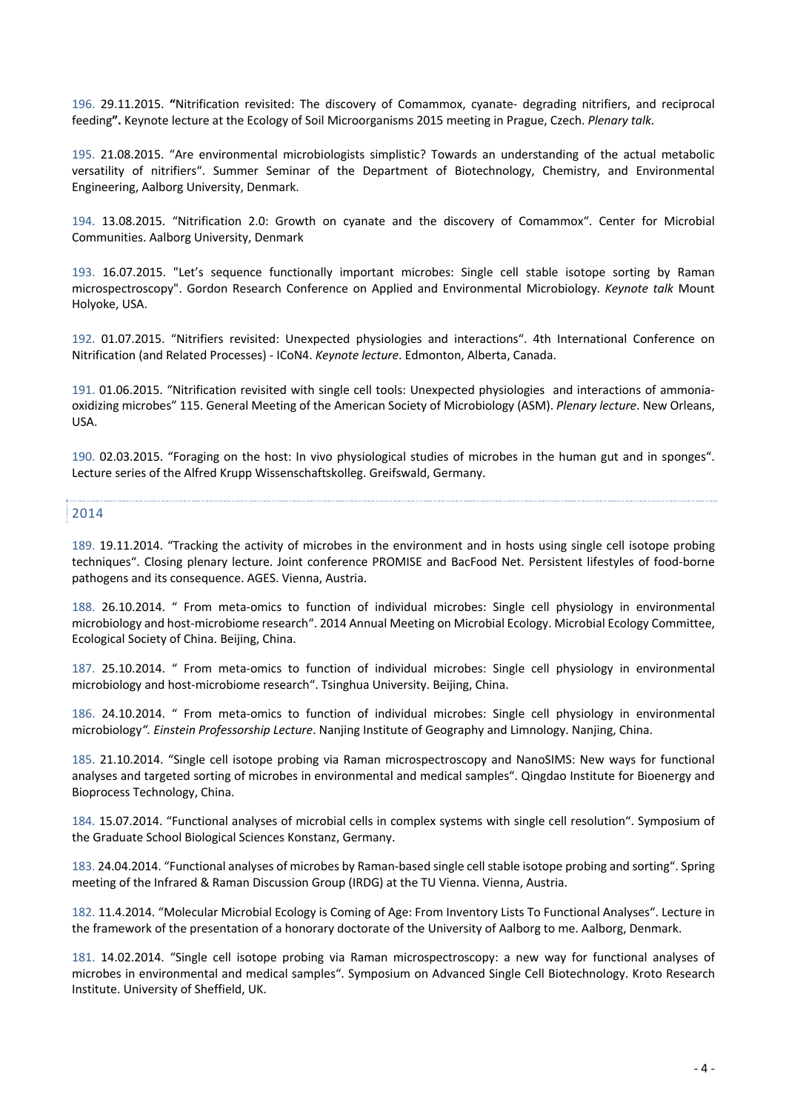196. 29.11.2015. **"**Nitrification revisited: The discovery of Comammox, cyanate- degrading nitrifiers, and reciprocal feeding**".** Keynote lecture at the Ecology of Soil Microorganisms 2015 meeting in Prague, Czech. *Plenary talk.*

195. 21.08.2015. "Are environmental microbiologists simplistic? Towards an understanding of the actual metabolic versatility of nitrifiers". Summer Seminar of the Department of Biotechnology, Chemistry, and Environmental Engineering, Aalborg University, Denmark.

194. 13.08.2015. "Nitrification 2.0: Growth on cyanate and the discovery of Comammox". Center for Microbial Communities. Aalborg University, Denmark

193. 16.07.2015. "Let's sequence functionally important microbes: Single cell stable isotope sorting by Raman microspectroscopy". Gordon Research Conference on Applied and Environmental Microbiology. *Keynote talk* Mount Holyoke, USA.

192. 01.07.2015. "Nitrifiers revisited: Unexpected physiologies and interactions". 4th International Conference on Nitrification (and Related Processes) - ICoN4. *Keynote lecture*. Edmonton, Alberta, Canada.

191. 01.06.2015. "Nitrification revisited with single cell tools: Unexpected physiologies and interactions of ammoniaoxidizing microbes" 115. General Meeting of the American Society of Microbiology (ASM). *Plenary lecture*. New Orleans, USA.

190. 02.03.2015. "Foraging on the host: In vivo physiological studies of microbes in the human gut and in sponges". Lecture series of the Alfred Krupp Wissenschaftskolleg. Greifswald, Germany.

### 2014

189. 19.11.2014. "Tracking the activity of microbes in the environment and in hosts using single cell isotope probing techniques". Closing plenary lecture. Joint conference PROMISE and BacFood Net. Persistent lifestyles of food-borne pathogens and its consequence. AGES. Vienna, Austria.

188. 26.10.2014. " From meta-omics to function of individual microbes: Single cell physiology in environmental microbiology and host-microbiome research". 2014 Annual Meeting on Microbial Ecology. Microbial Ecology Committee, Ecological Society of China. Beijing, China.

187. 25.10.2014. " From meta-omics to function of individual microbes: Single cell physiology in environmental microbiology and host-microbiome research". Tsinghua University. Beijing, China.

186. 24.10.2014. " From meta-omics to function of individual microbes: Single cell physiology in environmental microbiology*". Einstein Professorship Lecture*. Nanjing Institute of Geography and Limnology. Nanjing, China.

185. 21.10.2014. "Single cell isotope probing via Raman microspectroscopy and NanoSIMS: New ways for functional analyses and targeted sorting of microbes in environmental and medical samples". Qingdao Institute for Bioenergy and Bioprocess Technology, China.

184. 15.07.2014. "Functional analyses of microbial cells in complex systems with single cell resolution". Symposium of the Graduate School Biological Sciences Konstanz, Germany.

183. 24.04.2014. "Functional analyses of microbes by Raman-based single cell stable isotope probing and sorting". Spring meeting of the Infrared & Raman Discussion Group (IRDG) at the TU Vienna. Vienna, Austria.

182. 11.4.2014. "Molecular Microbial Ecology is Coming of Age: From Inventory Lists To Functional Analyses". Lecture in the framework of the presentation of a honorary doctorate of the University of Aalborg to me. Aalborg, Denmark.

181. 14.02.2014. "Single cell isotope probing via Raman microspectroscopy: a new way for functional analyses of microbes in environmental and medical samples". Symposium on Advanced Single Cell Biotechnology. Kroto Research Institute. University of Sheffield, UK.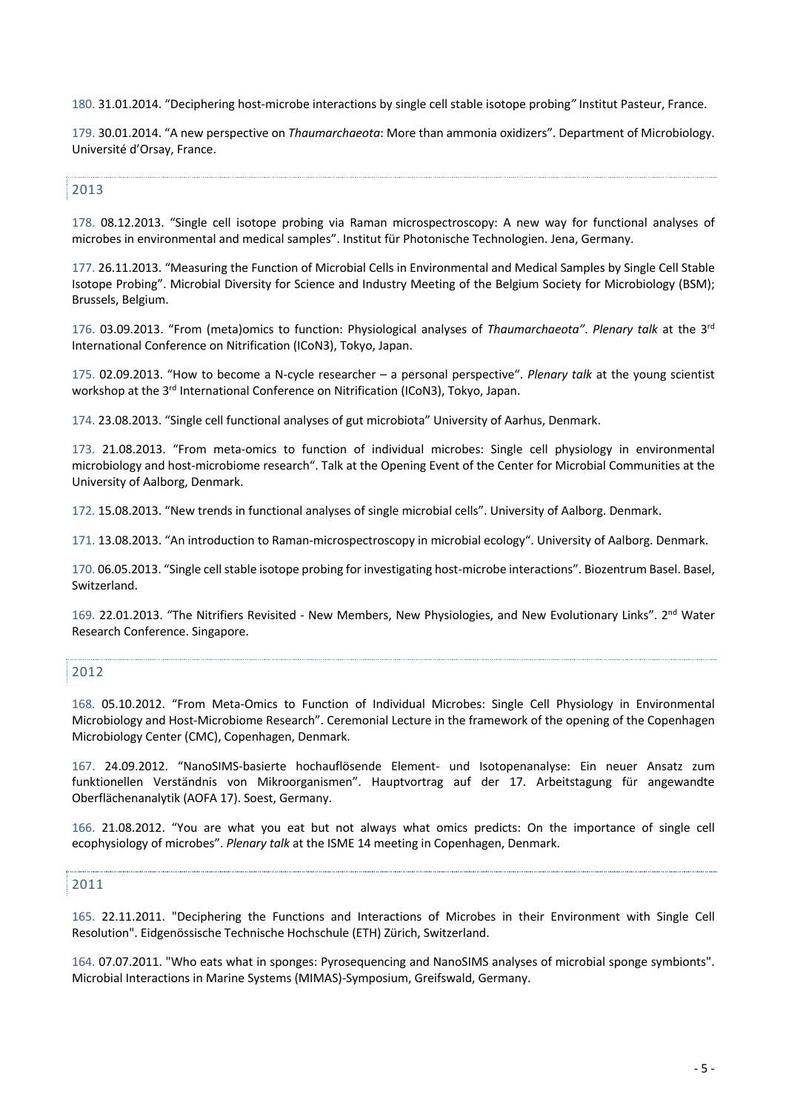180. 31.01.2014. "Deciphering host-microbe interactions by single cell stable isotope probing*"* Institut Pasteur, France.

179. 30.01.2014. "A new perspective on *Thaumarchaeota*: More than ammonia oxidizers". Department of Microbiology. Université d'Orsay, France.

# 2013

178. 08.12.2013. "Single cell isotope probing via Raman microspectroscopy: A new way for functional analyses of microbes in environmental and medical samples". Institut für Photonische Technologien. Jena, Germany.

177. 26.11.2013. "Measuring the Function of Microbial Cells in Environmental and Medical Samples by Single Cell Stable Isotope Probing". Microbial Diversity for Science and Industry Meeting of the Belgium Society for Microbiology (BSM); Brussels, Belgium.

176. 03.09.2013. "From (meta)omics to function: Physiological analyses of *Thaumarchaeota"*. *Plenary talk* at the 3rd International Conference on Nitrification (ICoN3), Tokyo, Japan.

175. 02.09.2013. "How to become a N-cycle researcher – a personal perspective". *Plenary talk* at the young scientist workshop at the 3<sup>rd</sup> International Conference on Nitrification (ICoN3), Tokyo, Japan.

174. 23.08.2013. "Single cell functional analyses of gut microbiota" University of Aarhus, Denmark.

173. 21.08.2013. "From meta-omics to function of individual microbes: Single cell physiology in environmental microbiology and host-microbiome research". Talk at the Opening Event of the Center for Microbial Communities at the University of Aalborg, Denmark.

172. 15.08.2013. "New trends in functional analyses of single microbial cells". University of Aalborg. Denmark.

171. 13.08.2013. "An introduction to Raman-microspectroscopy in microbial ecology". University of Aalborg. Denmark.

170. 06.05.2013. "Single cell stable isotope probing for investigating host-microbe interactions". Biozentrum Basel. Basel, Switzerland.

169. 22.01.2013. "The Nitrifiers Revisited - New Members, New Physiologies, and New Evolutionary Links". 2nd Water Research Conference. Singapore.

# 2012

168. 05.10.2012. "From Meta-Omics to Function of Individual Microbes: Single Cell Physiology in Environmental Microbiology and Host-Microbiome Research". Ceremonial Lecture in the framework of the opening of the Copenhagen Microbiology Center (CMC), Copenhagen, Denmark.

167. 24.09.2012. "NanoSIMS-basierte hochauflösende Element- und Isotopenanalyse: Ein neuer Ansatz zum funktionellen Verständnis von Mikroorganismen". Hauptvortrag auf der 17. Arbeitstagung für angewandte Oberflächenanalytik (AOFA 17). Soest, Germany.

166. 21.08.2012. "You are what you eat but not always what omics predicts: On the importance of single cell ecophysiology of microbes". *Plenary talk* at the ISME 14 meeting in Copenhagen, Denmark.

## 2011

165. 22.11.2011. "Deciphering the Functions and Interactions of Microbes in their Environment with Single Cell Resolution". Eidgenössische Technische Hochschule (ETH) Zürich, Switzerland.

164. 07.07.2011. "Who eats what in sponges: Pyrosequencing and NanoSIMS analyses of microbial sponge symbionts". Microbial Interactions in Marine Systems (MIMAS)-Symposium, Greifswald, Germany.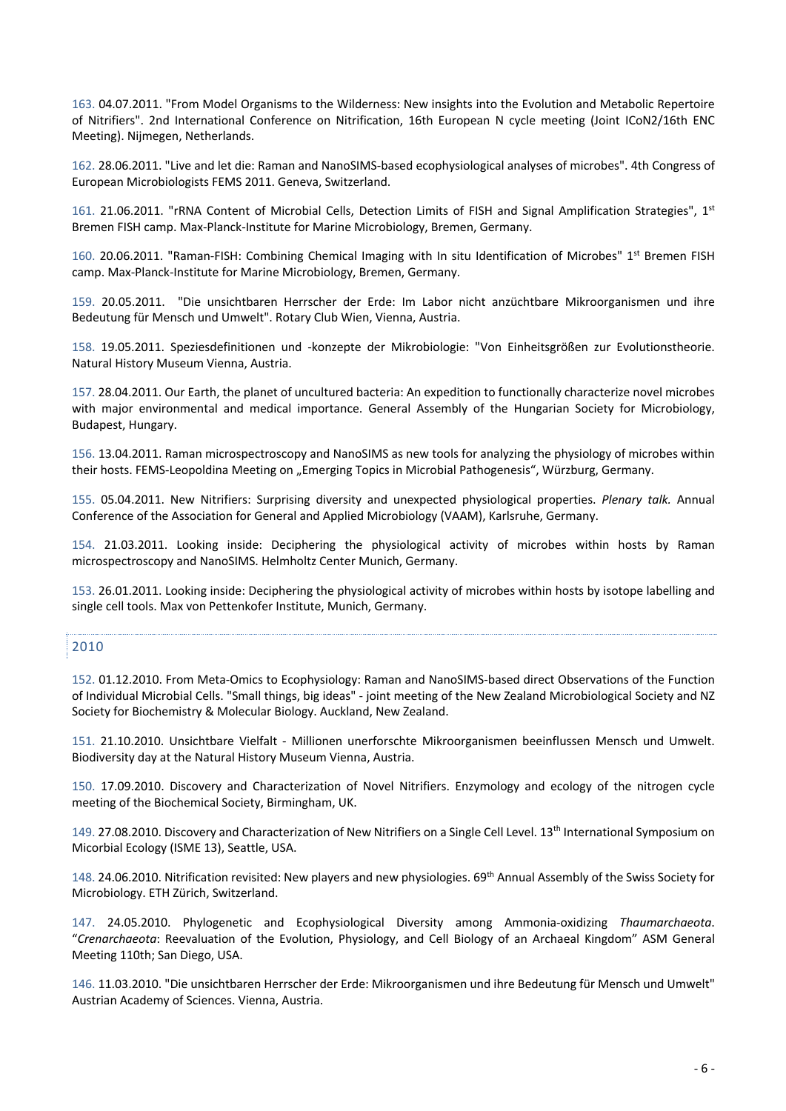163. 04.07.2011. "From Model Organisms to the Wilderness: New insights into the Evolution and Metabolic Repertoire of Nitrifiers". 2nd International Conference on Nitrification, 16th European N cycle meeting (Joint ICoN2/16th ENC Meeting). Nijmegen, Netherlands.

162. 28.06.2011. "Live and let die: Raman and NanoSIMS-based ecophysiological analyses of microbes". 4th Congress of European Microbiologists FEMS 2011. Geneva, Switzerland.

161. 21.06.2011. "rRNA Content of Microbial Cells, Detection Limits of FISH and Signal Amplification Strategies", 1<sup>st</sup> Bremen FISH camp. Max-Planck-Institute for Marine Microbiology, Bremen, Germany.

160. 20.06.2011. "Raman-FISH: Combining Chemical Imaging with In situ Identification of Microbes" 1<sup>st</sup> Bremen FISH camp. Max-Planck-Institute for Marine Microbiology, Bremen, Germany.

159. 20.05.2011. "Die unsichtbaren Herrscher der Erde: Im Labor nicht anzüchtbare Mikroorganismen und ihre Bedeutung für Mensch und Umwelt". Rotary Club Wien, Vienna, Austria.

158. 19.05.2011. Speziesdefinitionen und -konzepte der Mikrobiologie: "Von Einheitsgrößen zur Evolutionstheorie. Natural History Museum Vienna, Austria.

157. 28.04.2011. Our Earth, the planet of uncultured bacteria: An expedition to functionally characterize novel microbes with major environmental and medical importance. General Assembly of the Hungarian Society for Microbiology, Budapest, Hungary.

156. 13.04.2011. Raman microspectroscopy and NanoSIMS as new tools for analyzing the physiology of microbes within their hosts. FEMS-Leopoldina Meeting on "Emerging Topics in Microbial Pathogenesis", Würzburg, Germany.

155. 05.04.2011. New Nitrifiers: Surprising diversity and unexpected physiological properties. *Plenary talk.* Annual Conference of the Association for General and Applied Microbiology (VAAM), Karlsruhe, Germany.

154. 21.03.2011. Looking inside: Deciphering the physiological activity of microbes within hosts by Raman microspectroscopy and NanoSIMS. Helmholtz Center Munich, Germany.

153. 26.01.2011. Looking inside: Deciphering the physiological activity of microbes within hosts by isotope labelling and single cell tools. Max von Pettenkofer Institute, Munich, Germany.

# 2010

152. 01.12.2010. From Meta-Omics to Ecophysiology: Raman and NanoSIMS-based direct Observations of the Function of Individual Microbial Cells. "Small things, big ideas" - joint meeting of the New Zealand Microbiological Society and NZ Society for Biochemistry & Molecular Biology. Auckland, New Zealand.

151. 21.10.2010. Unsichtbare Vielfalt - Millionen unerforschte Mikroorganismen beeinflussen Mensch und Umwelt. Biodiversity day at the Natural History Museum Vienna, Austria.

150. 17.09.2010. Discovery and Characterization of Novel Nitrifiers. Enzymology and ecology of the nitrogen cycle meeting of the Biochemical Society, Birmingham, UK.

149. 27.08.2010. Discovery and Characterization of New Nitrifiers on a Single Cell Level. 13th International Symposium on Micorbial Ecology (ISME 13), Seattle, USA.

148. 24.06.2010. Nitrification revisited: New players and new physiologies. 69th Annual Assembly of the Swiss Society for Microbiology. ETH Zürich, Switzerland.

147. 24.05.2010. Phylogenetic and Ecophysiological Diversity among Ammonia-oxidizing *Thaumarchaeota*. "*Crenarchaeota*: Reevaluation of the Evolution, Physiology, and Cell Biology of an Archaeal Kingdom" ASM General Meeting 110th; San Diego, USA.

146. 11.03.2010. "Die unsichtbaren Herrscher der Erde: Mikroorganismen und ihre Bedeutung für Mensch und Umwelt" Austrian Academy of Sciences. Vienna, Austria.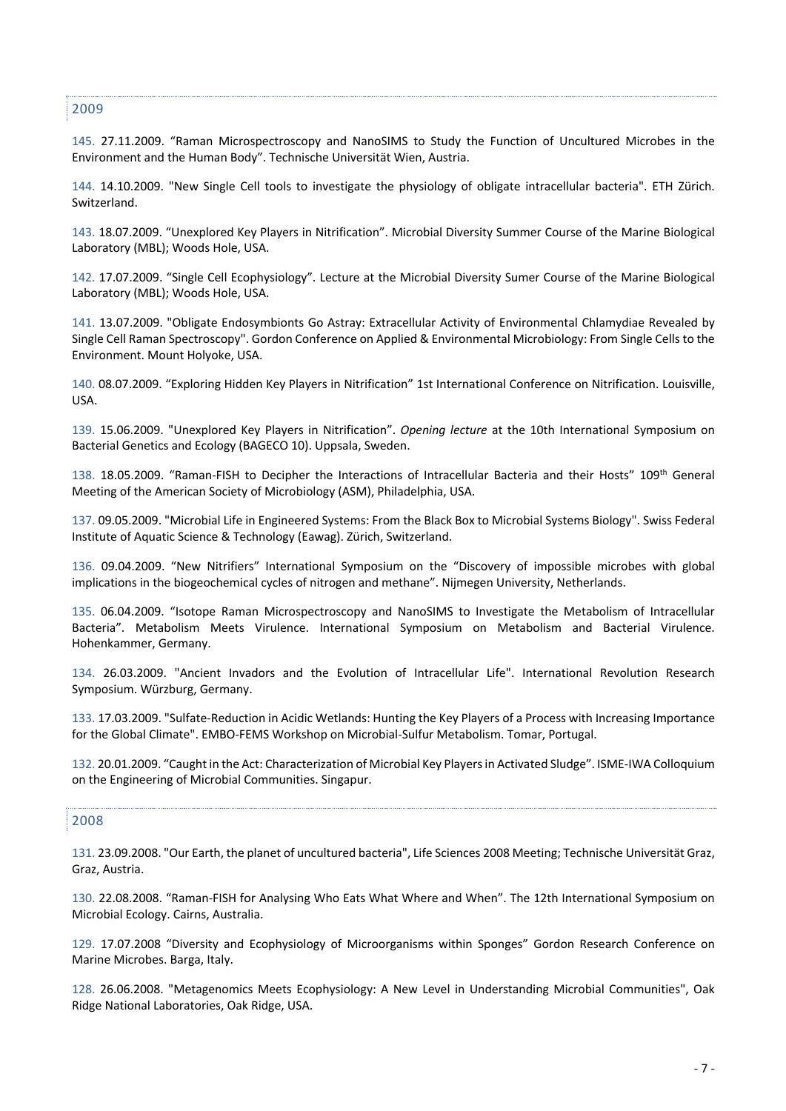2009

145. 27.11.2009. "Raman Microspectroscopy and NanoSIMS to Study the Function of Uncultured Microbes in the Environment and the Human Body". Technische Universität Wien, Austria.

144. 14.10.2009. "New Single Cell tools to investigate the physiology of obligate intracellular bacteria". ETH Zürich. **Switzerland** 

143. 18.07.2009. "Unexplored Key Players in Nitrification". Microbial Diversity Summer Course of the Marine Biological Laboratory (MBL); Woods Hole, USA.

142. 17.07.2009. "Single Cell Ecophysiology". Lecture at the Microbial Diversity Sumer Course of the Marine Biological Laboratory (MBL); Woods Hole, USA.

141. 13.07.2009. "Obligate Endosymbionts Go Astray: Extracellular Activity of Environmental Chlamydiae Revealed by Single Cell Raman Spectroscopy". Gordon Conference on Applied & Environmental Microbiology: From Single Cells to the Environment. Mount Holyoke, USA.

140. 08.07.2009. "Exploring Hidden Key Players in Nitrification" 1st International Conference on Nitrification. Louisville, USA.

139. 15.06.2009. "Unexplored Key Players in Nitrification". *Opening lecture* at the 10th International Symposium on Bacterial Genetics and Ecology (BAGECO 10). Uppsala, Sweden.

138. 18.05.2009. "Raman-FISH to Decipher the Interactions of Intracellular Bacteria and their Hosts" 109<sup>th</sup> General Meeting of the American Society of Microbiology (ASM), Philadelphia, USA.

137. 09.05.2009. "Microbial Life in Engineered Systems: From the Black Box to Microbial Systems Biology". Swiss Federal Institute of Aquatic Science & Technology (Eawag). Zürich, Switzerland.

136. 09.04.2009. "New Nitrifiers" International Symposium on the "Discovery of impossible microbes with global implications in the biogeochemical cycles of nitrogen and methane". Nijmegen University, Netherlands.

135. 06.04.2009. "Isotope Raman Microspectroscopy and NanoSIMS to Investigate the Metabolism of Intracellular Bacteria". Metabolism Meets Virulence. International Symposium on Metabolism and Bacterial Virulence. Hohenkammer, Germany.

134. 26.03.2009. "Ancient Invadors and the Evolution of Intracellular Life". International Revolution Research Symposium. Würzburg, Germany.

133. 17.03.2009. "Sulfate-Reduction in Acidic Wetlands: Hunting the Key Players of a Process with Increasing Importance for the Global Climate". EMBO-FEMS Workshop on Microbial-Sulfur Metabolism. Tomar, Portugal.

132. 20.01.2009. "Caught in the Act: Characterization of Microbial Key Players in Activated Sludge". ISME-IWA Colloquium on the Engineering of Microbial Communities. Singapur.

#### 2008

131. 23.09.2008. "Our Earth, the planet of uncultured bacteria", Life Sciences 2008 Meeting; Technische Universität Graz, Graz, Austria.

130. 22.08.2008. "Raman-FISH for Analysing Who Eats What Where and When". The 12th International Symposium on Microbial Ecology. Cairns, Australia.

129. 17.07.2008 "Diversity and Ecophysiology of Microorganisms within Sponges" Gordon Research Conference on Marine Microbes. Barga, Italy.

128. 26.06.2008. "Metagenomics Meets Ecophysiology: A New Level in Understanding Microbial Communities", Oak Ridge National Laboratories, Oak Ridge, USA.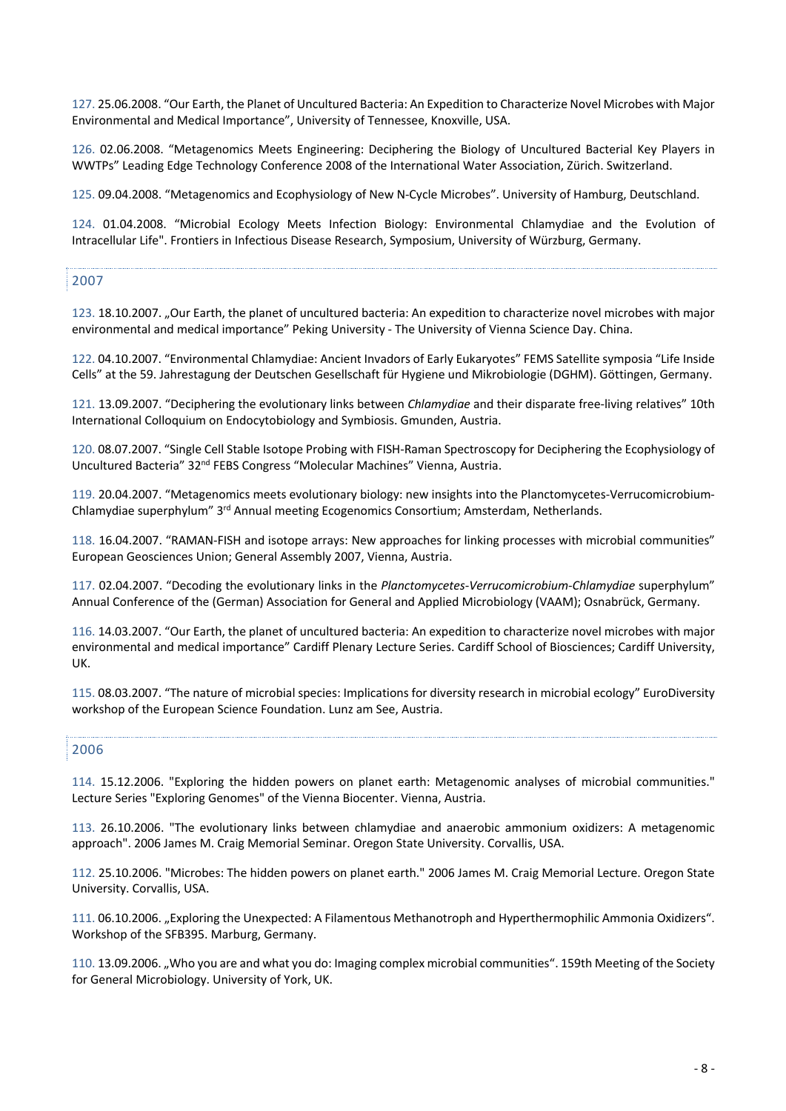127. 25.06.2008. "Our Earth, the Planet of Uncultured Bacteria: An Expedition to Characterize Novel Microbes with Major Environmental and Medical Importance", University of Tennessee, Knoxville, USA.

126. 02.06.2008. "Metagenomics Meets Engineering: Deciphering the Biology of Uncultured Bacterial Key Players in WWTPs" Leading Edge Technology Conference 2008 of the International Water Association, Zürich. Switzerland.

125. 09.04.2008. "Metagenomics and Ecophysiology of New N-Cycle Microbes". University of Hamburg, Deutschland.

124. 01.04.2008. "Microbial Ecology Meets Infection Biology: Environmental Chlamydiae and the Evolution of Intracellular Life". Frontiers in Infectious Disease Research, Symposium, University of Würzburg, Germany.

### 2007

123. 18.10.2007. "Our Earth, the planet of uncultured bacteria: An expedition to characterize novel microbes with major environmental and medical importance" Peking University - The University of Vienna Science Day. China.

122. 04.10.2007. "Environmental Chlamydiae: Ancient Invadors of Early Eukaryotes" FEMS Satellite symposia "Life Inside Cells" at the 59. Jahrestagung der Deutschen Gesellschaft für Hygiene und Mikrobiologie (DGHM). Göttingen, Germany.

121. 13.09.2007. "Deciphering the evolutionary links between *Chlamydiae* and their disparate free-living relatives" 10th International Colloquium on Endocytobiology and Symbiosis. Gmunden, Austria.

120. 08.07.2007. "Single Cell Stable Isotope Probing with FISH-Raman Spectroscopy for Deciphering the Ecophysiology of Uncultured Bacteria" 32<sup>nd</sup> FEBS Congress "Molecular Machines" Vienna, Austria.

119. 20.04.2007. "Metagenomics meets evolutionary biology: new insights into the Planctomycetes-Verrucomicrobium-Chlamydiae superphylum" 3rd Annual meeting Ecogenomics Consortium; Amsterdam, Netherlands.

118. 16.04.2007. "RAMAN-FISH and isotope arrays: New approaches for linking processes with microbial communities" European Geosciences Union; General Assembly 2007, Vienna, Austria.

117. 02.04.2007. "Decoding the evolutionary links in the *Planctomycetes-Verrucomicrobium-Chlamydiae* superphylum" Annual Conference of the (German) Association for General and Applied Microbiology (VAAM); Osnabrück, Germany.

116. 14.03.2007. "Our Earth, the planet of uncultured bacteria: An expedition to characterize novel microbes with major environmental and medical importance" Cardiff Plenary Lecture Series. Cardiff School of Biosciences; Cardiff University, UK.

115. 08.03.2007. "The nature of microbial species: Implications for diversity research in microbial ecology" EuroDiversity workshop of the European Science Foundation. Lunz am See, Austria.

#### 2006

114. 15.12.2006. "Exploring the hidden powers on planet earth: Metagenomic analyses of microbial communities." Lecture Series "Exploring Genomes" of the Vienna Biocenter. Vienna, Austria.

113. 26.10.2006. "The evolutionary links between chlamydiae and anaerobic ammonium oxidizers: A metagenomic approach". 2006 James M. Craig Memorial Seminar. Oregon State University. Corvallis, USA.

112. 25.10.2006. "Microbes: The hidden powers on planet earth." 2006 James M. Craig Memorial Lecture. Oregon State University. Corvallis, USA.

111. 06.10.2006. "Exploring the Unexpected: A Filamentous Methanotroph and Hyperthermophilic Ammonia Oxidizers". Workshop of the SFB395. Marburg, Germany.

110. 13.09.2006. "Who you are and what you do: Imaging complex microbial communities". 159th Meeting of the Society for General Microbiology. University of York, UK.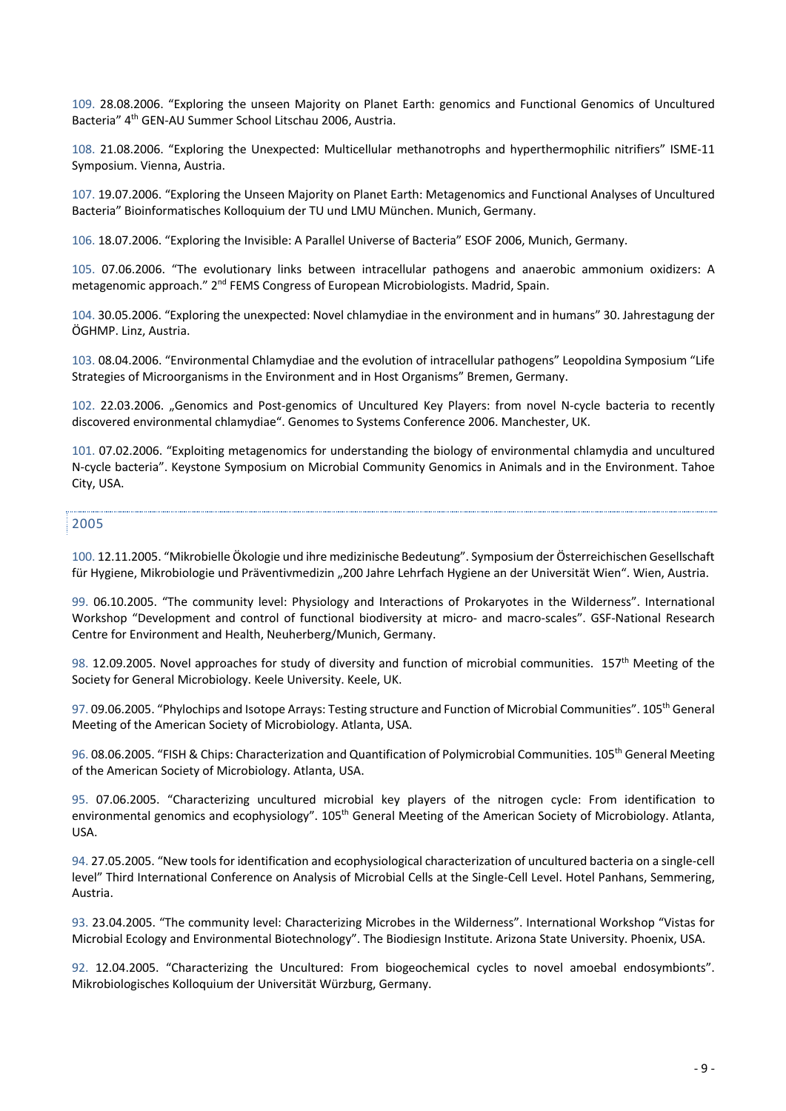109. 28.08.2006. "Exploring the unseen Majority on Planet Earth: genomics and Functional Genomics of Uncultured Bacteria" 4th GEN-AU Summer School Litschau 2006, Austria.

108. 21.08.2006. "Exploring the Unexpected: Multicellular methanotrophs and hyperthermophilic nitrifiers" ISME-11 Symposium. Vienna, Austria.

107. 19.07.2006. "Exploring the Unseen Majority on Planet Earth: Metagenomics and Functional Analyses of Uncultured Bacteria" Bioinformatisches Kolloquium der TU und LMU München. Munich, Germany.

106. 18.07.2006. "Exploring the Invisible: A Parallel Universe of Bacteria" ESOF 2006, Munich, Germany.

105. 07.06.2006. "The evolutionary links between intracellular pathogens and anaerobic ammonium oxidizers: A metagenomic approach." 2nd FEMS Congress of European Microbiologists. Madrid, Spain.

104. 30.05.2006. "Exploring the unexpected: Novel chlamydiae in the environment and in humans" 30. Jahrestagung der ÖGHMP. Linz, Austria.

103. 08.04.2006. "Environmental Chlamydiae and the evolution of intracellular pathogens" Leopoldina Symposium "Life Strategies of Microorganisms in the Environment and in Host Organisms" Bremen, Germany.

102. 22.03.2006. "Genomics and Post-genomics of Uncultured Key Players: from novel N-cycle bacteria to recently discovered environmental chlamydiae". Genomes to Systems Conference 2006. Manchester, UK.

101. 07.02.2006. "Exploiting metagenomics for understanding the biology of environmental chlamydia and uncultured N-cycle bacteria". Keystone Symposium on Microbial Community Genomics in Animals and in the Environment. Tahoe City, USA.

### 2005

100. 12.11.2005. "Mikrobielle Ökologie und ihre medizinische Bedeutung". Symposium der Österreichischen Gesellschaft für Hygiene, Mikrobiologie und Präventivmedizin "200 Jahre Lehrfach Hygiene an der Universität Wien". Wien, Austria.

99. 06.10.2005. "The community level: Physiology and Interactions of Prokaryotes in the Wilderness". International Workshop "Development and control of functional biodiversity at micro- and macro-scales". GSF-National Research Centre for Environment and Health, Neuherberg/Munich, Germany.

98. 12.09.2005. Novel approaches for study of diversity and function of microbial communities. 157<sup>th</sup> Meeting of the Society for General Microbiology. Keele University. Keele, UK.

97. 09.06.2005. "Phylochips and Isotope Arrays: Testing structure and Function of Microbial Communities". 105<sup>th</sup> General Meeting of the American Society of Microbiology. Atlanta, USA.

96. 08.06.2005. "FISH & Chips: Characterization and Quantification of Polymicrobial Communities. 105<sup>th</sup> General Meeting of the American Society of Microbiology. Atlanta, USA.

95. 07.06.2005. "Characterizing uncultured microbial key players of the nitrogen cycle: From identification to environmental genomics and ecophysiology". 105<sup>th</sup> General Meeting of the American Society of Microbiology. Atlanta, USA.

94. 27.05.2005. "New tools for identification and ecophysiological characterization of uncultured bacteria on a single-cell level" Third International Conference on Analysis of Microbial Cells at the Single-Cell Level. Hotel Panhans, Semmering, Austria.

93. 23.04.2005. "The community level: Characterizing Microbes in the Wilderness". International Workshop "Vistas for Microbial Ecology and Environmental Biotechnology". The Biodiesign Institute. Arizona State University. Phoenix, USA.

92. 12.04.2005. "Characterizing the Uncultured: From biogeochemical cycles to novel amoebal endosymbionts". Mikrobiologisches Kolloquium der Universität Würzburg, Germany.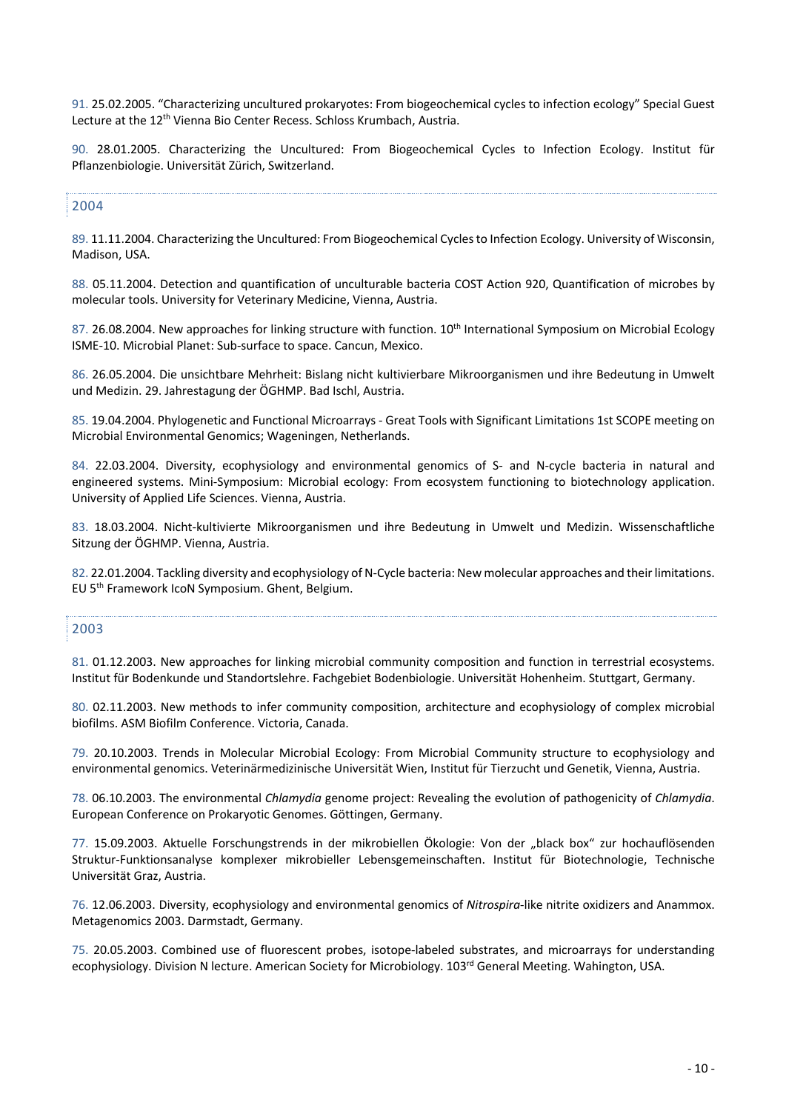91. 25.02.2005. "Characterizing uncultured prokaryotes: From biogeochemical cycles to infection ecology" Special Guest Lecture at the 12<sup>th</sup> Vienna Bio Center Recess. Schloss Krumbach, Austria.

90. 28.01.2005. Characterizing the Uncultured: From Biogeochemical Cycles to Infection Ecology. Institut für Pflanzenbiologie. Universität Zürich, Switzerland.

## 2004

89. 11.11.2004. Characterizing the Uncultured: From Biogeochemical Cycles to Infection Ecology. University of Wisconsin, Madison, USA.

88. 05.11.2004. Detection and quantification of unculturable bacteria COST Action 920, Quantification of microbes by molecular tools. University for Veterinary Medicine, Vienna, Austria.

87. 26.08.2004. New approaches for linking structure with function. 10<sup>th</sup> International Symposium on Microbial Ecology ISME-10. Microbial Planet: Sub-surface to space. Cancun, Mexico.

86. 26.05.2004. Die unsichtbare Mehrheit: Bislang nicht kultivierbare Mikroorganismen und ihre Bedeutung in Umwelt und Medizin. 29. Jahrestagung der ÖGHMP. Bad Ischl, Austria.

85. 19.04.2004. Phylogenetic and Functional Microarrays - Great Tools with Significant Limitations 1st SCOPE meeting on Microbial Environmental Genomics; Wageningen, Netherlands.

84. 22.03.2004. Diversity, ecophysiology and environmental genomics of S- and N-cycle bacteria in natural and engineered systems. Mini-Symposium: Microbial ecology: From ecosystem functioning to biotechnology application. University of Applied Life Sciences. Vienna, Austria.

83. 18.03.2004. Nicht-kultivierte Mikroorganismen und ihre Bedeutung in Umwelt und Medizin. Wissenschaftliche Sitzung der ÖGHMP. Vienna, Austria.

82. 22.01.2004. Tackling diversity and ecophysiology of N-Cycle bacteria: New molecular approaches and their limitations. EU 5th Framework IcoN Symposium. Ghent, Belgium.

#### 2003

81. 01.12.2003. New approaches for linking microbial community composition and function in terrestrial ecosystems. Institut für Bodenkunde und Standortslehre. Fachgebiet Bodenbiologie. Universität Hohenheim. Stuttgart, Germany.

80. 02.11.2003. New methods to infer community composition, architecture and ecophysiology of complex microbial biofilms. ASM Biofilm Conference. Victoria, Canada.

79. 20.10.2003. Trends in Molecular Microbial Ecology: From Microbial Community structure to ecophysiology and environmental genomics. Veterinärmedizinische Universität Wien, Institut für Tierzucht und Genetik, Vienna, Austria.

78. 06.10.2003. The environmental *Chlamydia* genome project: Revealing the evolution of pathogenicity of *Chlamydia*. European Conference on Prokaryotic Genomes. Göttingen, Germany.

77. 15.09.2003. Aktuelle Forschungstrends in der mikrobiellen Ökologie: Von der "black box" zur hochauflösenden Struktur-Funktionsanalyse komplexer mikrobieller Lebensgemeinschaften. Institut für Biotechnologie, Technische Universität Graz, Austria.

76. 12.06.2003. Diversity, ecophysiology and environmental genomics of *Nitrospira*-like nitrite oxidizers and Anammox. Metagenomics 2003. Darmstadt, Germany.

75. 20.05.2003. Combined use of fluorescent probes, isotope-labeled substrates, and microarrays for understanding ecophysiology. Division N lecture. American Society for Microbiology. 103<sup>rd</sup> General Meeting. Wahington, USA.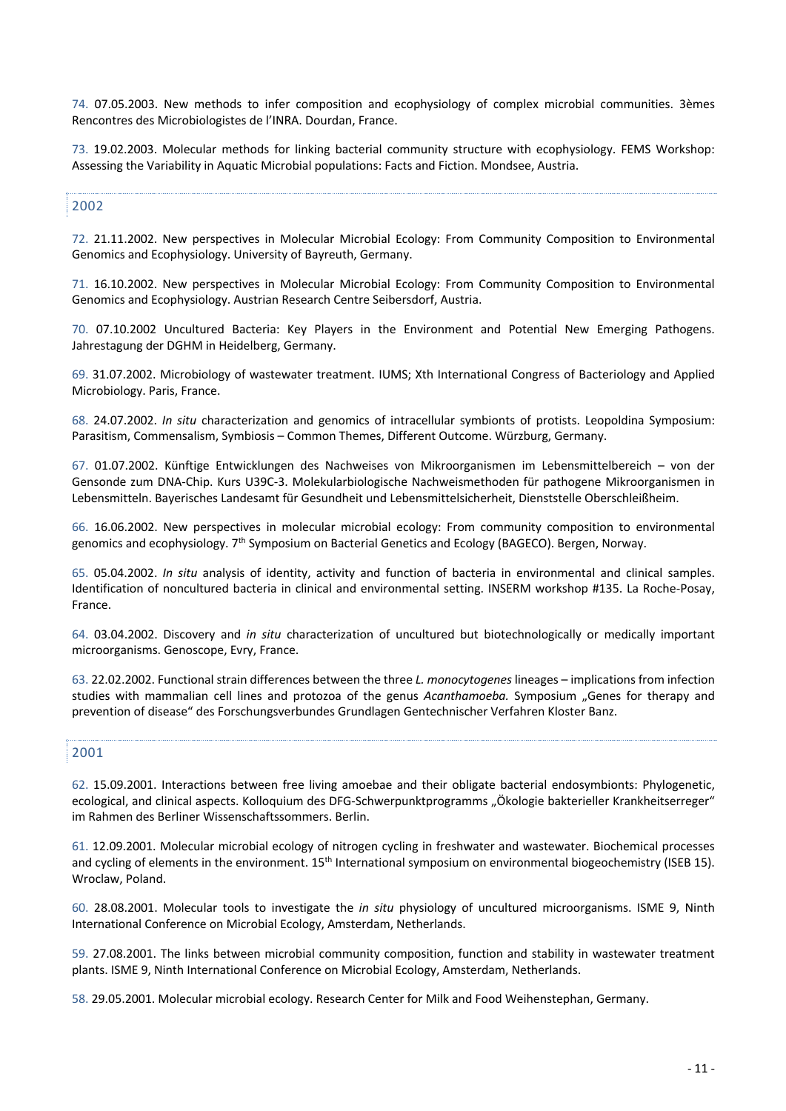74. 07.05.2003. New methods to infer composition and ecophysiology of complex microbial communities. 3èmes Rencontres des Microbiologistes de l'INRA. Dourdan, France.

73. 19.02.2003. Molecular methods for linking bacterial community structure with ecophysiology. FEMS Workshop: Assessing the Variability in Aquatic Microbial populations: Facts and Fiction. Mondsee, Austria.

## 2002

72. 21.11.2002. New perspectives in Molecular Microbial Ecology: From Community Composition to Environmental Genomics and Ecophysiology. University of Bayreuth, Germany.

71. 16.10.2002. New perspectives in Molecular Microbial Ecology: From Community Composition to Environmental Genomics and Ecophysiology. Austrian Research Centre Seibersdorf, Austria.

70. 07.10.2002 Uncultured Bacteria: Key Players in the Environment and Potential New Emerging Pathogens. Jahrestagung der DGHM in Heidelberg, Germany.

69. 31.07.2002. Microbiology of wastewater treatment. IUMS; Xth International Congress of Bacteriology and Applied Microbiology. Paris, France.

68. 24.07.2002. *In situ* characterization and genomics of intracellular symbionts of protists. Leopoldina Symposium: Parasitism, Commensalism, Symbiosis – Common Themes, Different Outcome. Würzburg, Germany.

67. 01.07.2002. Künftige Entwicklungen des Nachweises von Mikroorganismen im Lebensmittelbereich – von der Gensonde zum DNA-Chip. Kurs U39C-3. Molekularbiologische Nachweismethoden für pathogene Mikroorganismen in Lebensmitteln. Bayerisches Landesamt für Gesundheit und Lebensmittelsicherheit, Dienststelle Oberschleißheim.

66. 16.06.2002. New perspectives in molecular microbial ecology: From community composition to environmental genomics and ecophysiology. 7th Symposium on Bacterial Genetics and Ecology (BAGECO). Bergen, Norway.

65. 05.04.2002. *In situ* analysis of identity, activity and function of bacteria in environmental and clinical samples. Identification of noncultured bacteria in clinical and environmental setting. INSERM workshop #135. La Roche-Posay, France.

64. 03.04.2002. Discovery and *in situ* characterization of uncultured but biotechnologically or medically important microorganisms. Genoscope, Evry, France.

63. 22.02.2002. Functional strain differences between the three *L. monocytogenes* lineages – implications from infection studies with mammalian cell lines and protozoa of the genus *Acanthamoeba.* Symposium "Genes for therapy and prevention of disease" des Forschungsverbundes Grundlagen Gentechnischer Verfahren Kloster Banz.

#### 2001

62. 15.09.2001. Interactions between free living amoebae and their obligate bacterial endosymbionts: Phylogenetic, ecological, and clinical aspects. Kolloquium des DFG-Schwerpunktprogramms "Ökologie bakterieller Krankheitserreger" im Rahmen des Berliner Wissenschaftssommers. Berlin.

61. 12.09.2001. Molecular microbial ecology of nitrogen cycling in freshwater and wastewater. Biochemical processes and cycling of elements in the environment.  $15<sup>th</sup>$  International symposium on environmental biogeochemistry (ISEB 15). Wroclaw, Poland.

60. 28.08.2001. Molecular tools to investigate the *in situ* physiology of uncultured microorganisms. ISME 9, Ninth International Conference on Microbial Ecology, Amsterdam, Netherlands.

59. 27.08.2001. The links between microbial community composition, function and stability in wastewater treatment plants. ISME 9, Ninth International Conference on Microbial Ecology, Amsterdam, Netherlands.

58. 29.05.2001. Molecular microbial ecology. Research Center for Milk and Food Weihenstephan, Germany.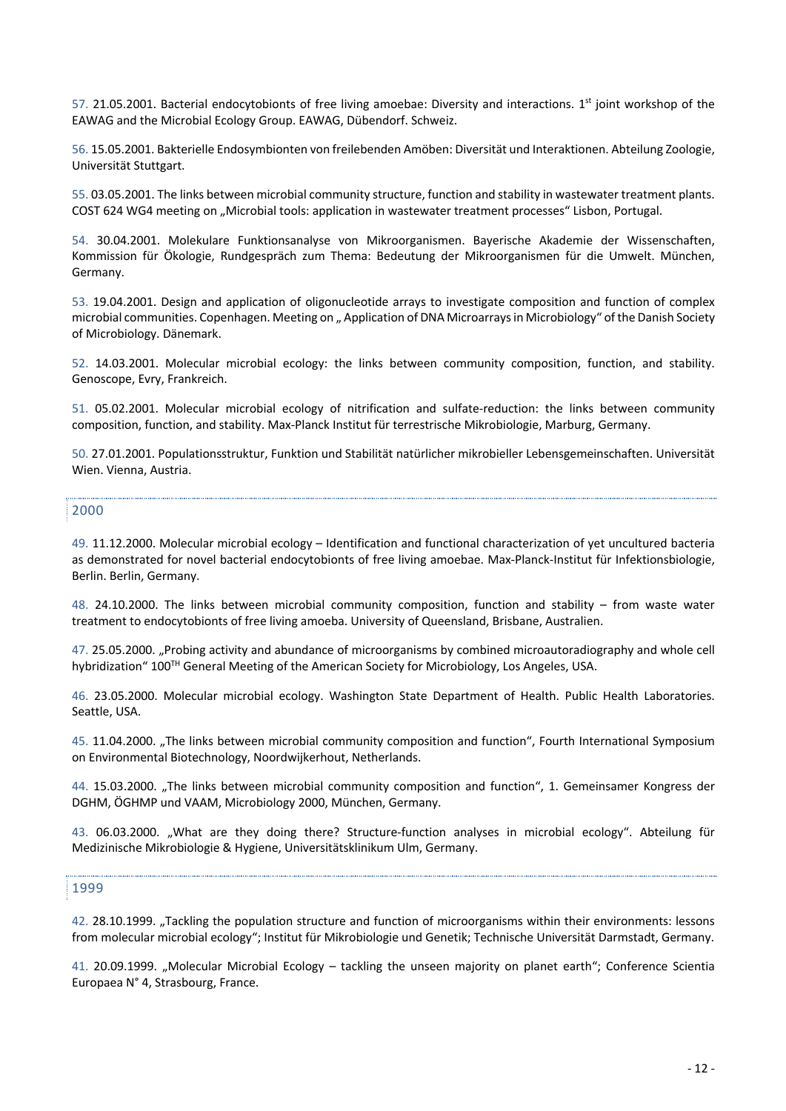57. 21.05.2001. Bacterial endocytobionts of free living amoebae: Diversity and interactions.  $1<sup>st</sup>$  joint workshop of the EAWAG and the Microbial Ecology Group. EAWAG, Dübendorf. Schweiz.

56. 15.05.2001. Bakterielle Endosymbionten von freilebenden Amöben: Diversität und Interaktionen. Abteilung Zoologie, Universität Stuttgart.

55. 03.05.2001. The links between microbial community structure, function and stability in wastewater treatment plants. COST 624 WG4 meeting on "Microbial tools: application in wastewater treatment processes" Lisbon, Portugal.

54. 30.04.2001. Molekulare Funktionsanalyse von Mikroorganismen. Bayerische Akademie der Wissenschaften, Kommission für Ökologie, Rundgespräch zum Thema: Bedeutung der Mikroorganismen für die Umwelt. München, Germany.

53. 19.04.2001. Design and application of oligonucleotide arrays to investigate composition and function of complex microbial communities. Copenhagen. Meeting on " Application of DNA Microarrays in Microbiology" of the Danish Society of Microbiology. Dänemark.

52. 14.03.2001. Molecular microbial ecology: the links between community composition, function, and stability. Genoscope, Evry, Frankreich.

51. 05.02.2001. Molecular microbial ecology of nitrification and sulfate-reduction: the links between community composition, function, and stability. Max-Planck Institut für terrestrische Mikrobiologie, Marburg, Germany.

50. 27.01.2001. Populationsstruktur, Funktion und Stabilität natürlicher mikrobieller Lebensgemeinschaften. Universität Wien. Vienna, Austria.

### 2000

49. 11.12.2000. Molecular microbial ecology – Identification and functional characterization of yet uncultured bacteria as demonstrated for novel bacterial endocytobionts of free living amoebae. Max-Planck-Institut für Infektionsbiologie, Berlin. Berlin, Germany.

48. 24.10.2000. The links between microbial community composition, function and stability – from waste water treatment to endocytobionts of free living amoeba. University of Queensland, Brisbane, Australien.

47. 25.05.2000. "Probing activity and abundance of microorganisms by combined microautoradiography and whole cell hybridization" 100<sup>TH</sup> General Meeting of the American Society for Microbiology, Los Angeles, USA.

46. 23.05.2000. Molecular microbial ecology. Washington State Department of Health. Public Health Laboratories. Seattle, USA.

45. 11.04.2000. "The links between microbial community composition and function", Fourth International Symposium on Environmental Biotechnology, Noordwijkerhout, Netherlands.

44. 15.03.2000. "The links between microbial community composition and function", 1. Gemeinsamer Kongress der DGHM, ÖGHMP und VAAM, Microbiology 2000, München, Germany.

43. 06.03.2000. "What are they doing there? Structure-function analyses in microbial ecology". Abteilung für Medizinische Mikrobiologie & Hygiene, Universitätsklinikum Ulm, Germany.

#### 1999

42. 28.10.1999. "Tackling the population structure and function of microorganisms within their environments: lessons from molecular microbial ecology"; Institut für Mikrobiologie und Genetik; Technische Universität Darmstadt, Germany.

41. 20.09.1999. "Molecular Microbial Ecology – tackling the unseen majority on planet earth"; Conference Scientia Europaea N° 4, Strasbourg, France.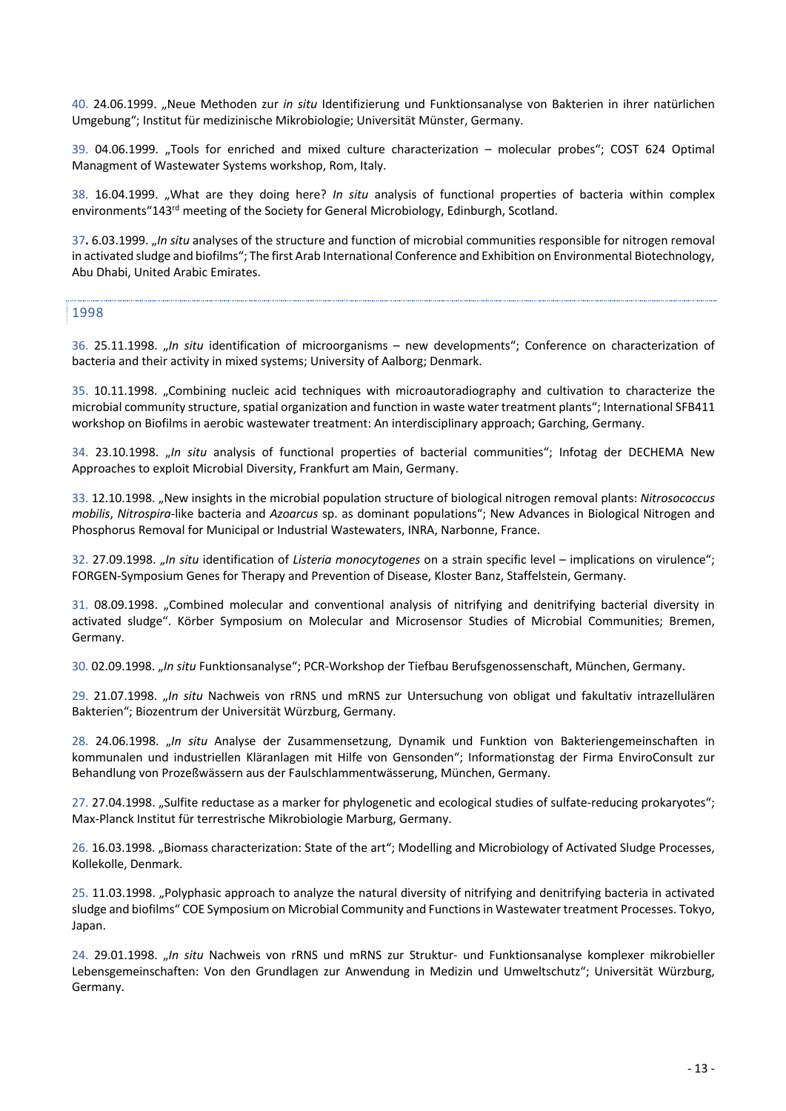40. 24.06.1999. "Neue Methoden zur *in situ* Identifizierung und Funktionsanalyse von Bakterien in ihrer natürlichen Umgebung"; Institut für medizinische Mikrobiologie; Universität Münster, Germany.

39. 04.06.1999. "Tools for enriched and mixed culture characterization – molecular probes"; COST 624 Optimal Managment of Wastewater Systems workshop, Rom, Italy.

38. 16.04.1999. "What are they doing here? *In situ* analysis of functional properties of bacteria within complex environments"143<sup>rd</sup> meeting of the Society for General Microbiology, Edinburgh, Scotland.

37**.** 6.03.1999. "*In situ* analyses of the structure and function of microbial communities responsible for nitrogen removal in activated sludge and biofilms"; The first Arab International Conference and Exhibition on Environmental Biotechnology, Abu Dhabi, United Arabic Emirates.

1998

36. 25.11.1998. "*In situ* identification of microorganisms – new developments"; Conference on characterization of bacteria and their activity in mixed systems; University of Aalborg; Denmark.

35. 10.11.1998. "Combining nucleic acid techniques with microautoradiography and cultivation to characterize the microbial community structure, spatial organization and function in waste water treatment plants"; International SFB411 workshop on Biofilms in aerobic wastewater treatment: An interdisciplinary approach; Garching, Germany.

34. 23.10.1998. "*In situ* analysis of functional properties of bacterial communities"; Infotag der DECHEMA New Approaches to exploit Microbial Diversity, Frankfurt am Main, Germany.

33. 12.10.1998. "New insights in the microbial population structure of biological nitrogen removal plants: *Nitrosococcus mobilis*, *Nitrospira*-like bacteria and *Azoarcus* sp. as dominant populations"; New Advances in Biological Nitrogen and Phosphorus Removal for Municipal or Industrial Wastewaters, INRA, Narbonne, France.

32. 27.09.1998. "*In situ* identification of *Listeria monocytogenes* on a strain specific level – implications on virulence"; FORGEN-Symposium Genes for Therapy and Prevention of Disease, Kloster Banz, Staffelstein, Germany.

31. 08.09.1998. "Combined molecular and conventional analysis of nitrifying and denitrifying bacterial diversity in activated sludge". Körber Symposium on Molecular and Microsensor Studies of Microbial Communities; Bremen, Germany.

30. 02.09.1998. "*In situ* Funktionsanalyse"; PCR-Workshop der Tiefbau Berufsgenossenschaft, München, Germany.

29. 21.07.1998. "*In situ* Nachweis von rRNS und mRNS zur Untersuchung von obligat und fakultativ intrazellulären Bakterien"; Biozentrum der Universität Würzburg, Germany.

28. 24.06.1998. "*In situ* Analyse der Zusammensetzung, Dynamik und Funktion von Bakteriengemeinschaften in kommunalen und industriellen Kläranlagen mit Hilfe von Gensonden"; Informationstag der Firma EnviroConsult zur Behandlung von Prozeßwässern aus der Faulschlammentwässerung, München, Germany.

27. 27.04.1998. "Sulfite reductase as a marker for phylogenetic and ecological studies of sulfate-reducing prokaryotes"; Max-Planck Institut für terrestrische Mikrobiologie Marburg, Germany.

26. 16.03.1998. "Biomass characterization: State of the art"; Modelling and Microbiology of Activated Sludge Processes, Kollekolle, Denmark.

25. 11.03.1998. "Polyphasic approach to analyze the natural diversity of nitrifying and denitrifying bacteria in activated sludge and biofilms" COE Symposium on Microbial Community and Functions in Wastewater treatment Processes. Tokyo, Japan.

24. 29.01.1998. "*In situ* Nachweis von rRNS und mRNS zur Struktur- und Funktionsanalyse komplexer mikrobieller Lebensgemeinschaften: Von den Grundlagen zur Anwendung in Medizin und Umweltschutz"; Universität Würzburg, Germany.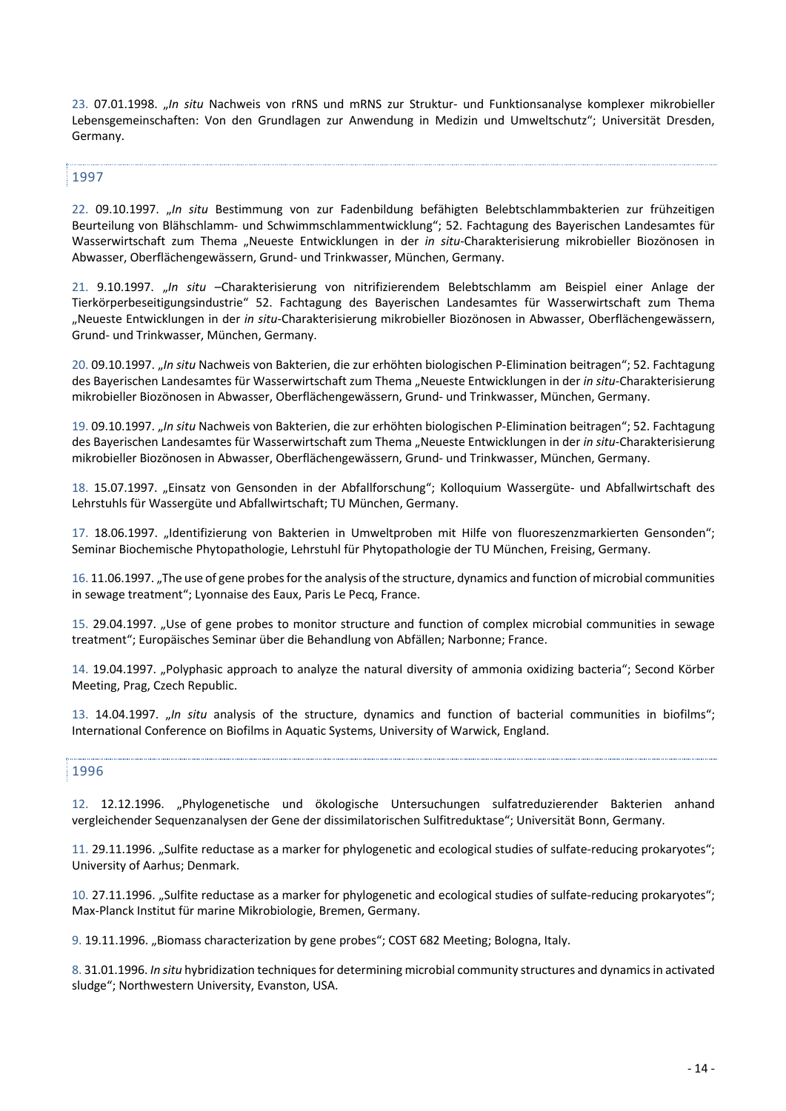23. 07.01.1998. "*In situ* Nachweis von rRNS und mRNS zur Struktur- und Funktionsanalyse komplexer mikrobieller Lebensgemeinschaften: Von den Grundlagen zur Anwendung in Medizin und Umweltschutz"; Universität Dresden, Germany.

### 1997

22. 09.10.1997. "*In situ* Bestimmung von zur Fadenbildung befähigten Belebtschlammbakterien zur frühzeitigen Beurteilung von Blähschlamm- und Schwimmschlammentwicklung"; 52. Fachtagung des Bayerischen Landesamtes für Wasserwirtschaft zum Thema "Neueste Entwicklungen in der *in situ*-Charakterisierung mikrobieller Biozönosen in Abwasser, Oberflächengewässern, Grund- und Trinkwasser, München, Germany.

21. 9.10.1997. "*In situ* –Charakterisierung von nitrifizierendem Belebtschlamm am Beispiel einer Anlage der Tierkörperbeseitigungsindustrie" 52. Fachtagung des Bayerischen Landesamtes für Wasserwirtschaft zum Thema "Neueste Entwicklungen in der *in situ*-Charakterisierung mikrobieller Biozönosen in Abwasser, Oberflächengewässern, Grund- und Trinkwasser, München, Germany.

20. 09.10.1997. "*In situ* Nachweis von Bakterien, die zur erhöhten biologischen P-Elimination beitragen"; 52. Fachtagung des Bayerischen Landesamtes für Wasserwirtschaft zum Thema "Neueste Entwicklungen in der in situ-Charakterisierung mikrobieller Biozönosen in Abwasser, Oberflächengewässern, Grund- und Trinkwasser, München, Germany.

19. 09.10.1997. "*In situ* Nachweis von Bakterien, die zur erhöhten biologischen P-Elimination beitragen"; 52. Fachtagung des Bayerischen Landesamtes für Wasserwirtschaft zum Thema "Neueste Entwicklungen in der in situ-Charakterisierung mikrobieller Biozönosen in Abwasser, Oberflächengewässern, Grund- und Trinkwasser, München, Germany.

18. 15.07.1997. "Einsatz von Gensonden in der Abfallforschung"; Kolloquium Wassergüte- und Abfallwirtschaft des Lehrstuhls für Wassergüte und Abfallwirtschaft; TU München, Germany.

17. 18.06.1997. "Identifizierung von Bakterien in Umweltproben mit Hilfe von fluoreszenzmarkierten Gensonden"; Seminar Biochemische Phytopathologie, Lehrstuhl für Phytopathologie der TU München, Freising, Germany.

16. 11.06.1997. "The use of gene probes for the analysis of the structure, dynamics and function of microbial communities in sewage treatment"; Lyonnaise des Eaux, Paris Le Pecq, France.

15. 29.04.1997. "Use of gene probes to monitor structure and function of complex microbial communities in sewage treatment"; Europäisches Seminar über die Behandlung von Abfällen; Narbonne; France.

14. 19.04.1997. "Polyphasic approach to analyze the natural diversity of ammonia oxidizing bacteria"; Second Körber Meeting, Prag, Czech Republic.

13. 14.04.1997. "*In situ* analysis of the structure, dynamics and function of bacterial communities in biofilms"; International Conference on Biofilms in Aquatic Systems, University of Warwick, England.

#### 1996

12. 12.12.1996. "Phylogenetische und ökologische Untersuchungen sulfatreduzierender Bakterien anhand vergleichender Sequenzanalysen der Gene der dissimilatorischen Sulfitreduktase"; Universität Bonn, Germany.

11. 29.11.1996. "Sulfite reductase as a marker for phylogenetic and ecological studies of sulfate-reducing prokaryotes"; University of Aarhus; Denmark.

10. 27.11.1996. "Sulfite reductase as a marker for phylogenetic and ecological studies of sulfate-reducing prokaryotes"; Max-Planck Institut für marine Mikrobiologie, Bremen, Germany.

9. 19.11.1996. "Biomass characterization by gene probes"; COST 682 Meeting; Bologna, Italy.

8. 31.01.1996. *In situ* hybridization techniques for determining microbial community structures and dynamics in activated sludge"; Northwestern University, Evanston, USA.